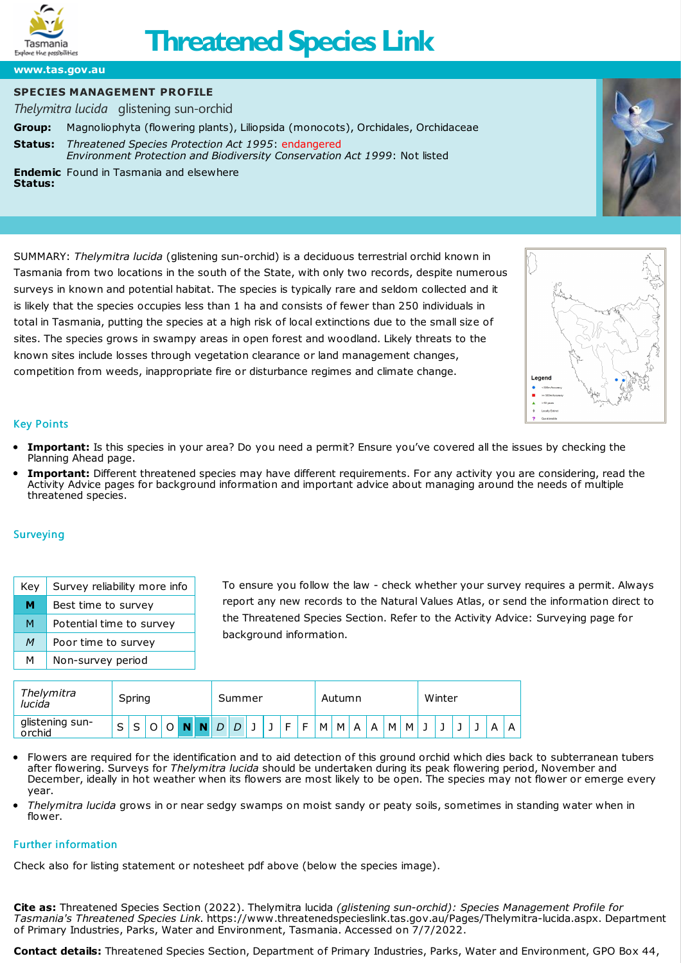

# **Threatened Species Link**

**[www.tas.gov.au](https://www.tas.gov.au)**

## **SPECIES MANAGEMENT PROFILE**

*Thelymitra lucida* glistening sun-orchid

**Group:** Magnoliophyta (flowering plants), Liliopsida (monocots), Orchidales, Orchidaceae **[Status:](http://www.nre.tas.gov.au/inter.nsf/WebPages/RLIG-5433LB?open)** *Threatened Species Protection Act 1995*: endangered *Environment Protection and Biodiversity Conservation Act 1999*: Not listed **Endemic** Found in Tasmania and elsewhere **Status:**

SUMMARY: *Thelymitra lucida* (glistening sun-orchid) is a deciduous terrestrial orchid known in Tasmania from two locations in the south of the State, with only two records, despite numerous surveys in known and potential habitat. The species is typically rare and seldom collected and it is likely that the species occupies less than 1 ha and consists of fewer than 250 individuals in total in Tasmania, putting the species at a high risk of local extinctions due to the small size of sites. The species grows in swampy areas in open forest and woodland. Likely threats to the known sites include losses through vegetation clearance or land management changes, competition from weeds, inappropriate fire or disturbance regimes and climate change.





### Key Points

- **Important:** Is this species in your area? Do you need a permit? Ensure you've covered all the issues by checking the [Planning](https://www.threatenedspecieslink.tas.gov.au/Pages/planning-ahead.aspx) Ahead page.
- **Important:** Different threatened species may have different requirements. For any activity you are considering, read the [Activity](https://www.threatenedspecieslink.tas.gov.au/Pages/Activities.aspx) Advice pages for background information and important advice about managing around the needs of multiple threatened species.

### **Surveying**

| Key | Survey reliability more info |
|-----|------------------------------|
| М   | Best time to survey          |
| М   | Potential time to survey     |
| M   | Poor time to survey          |
| м   | Non-survey period            |

To ensure you follow the law - check whether your survey requires a permit. Always report any new records to the [Natural](https://www.naturalvaluesatlas.tas.gov.au/) Values Atlas, or send the information direct to the [Threatened](http://www.dpipwe.tas.gov.au/inter-nsf/ThemeNodes/RLIG-53KUPV?open) Species Section. Refer to the Activity Advice: [Surveying](https://www.threatenedspecieslink.tas.gov.au/pages/surveying.aspx) page for background information.

| Thelymitra<br>lucida      | Spring |   |   |  |          |  | Summer |     |  |  |   |   | Autumn |                |   |   |   |   | Winter |  |  |  |   |   |
|---------------------------|--------|---|---|--|----------|--|--------|-----|--|--|---|---|--------|----------------|---|---|---|---|--------|--|--|--|---|---|
| glistening sun-<br>orchid | ∽<br>ٮ | ٮ | ັ |  | <b>N</b> |  |        | D I |  |  | F | F | M      | $\blacksquare$ | A | A | M | м |        |  |  |  | A | A |

- Flowers are required for the identification and to aid detection of this ground orchid which dies back to subterranean tubers after flowering. Surveys for *Thelymitra lucida* should be undertaken during its peak flowering period, November and December, ideally in hot weather when its flowers are most likely to be open. The species may not flower or emerge every year.
- *Thelymitra lucida* grows in or near sedgy swamps on moist sandy or peaty soils, sometimes in standing water when in flower.

### Further information

Check also for listing statement or notesheet pdf above (below the species image).

**Cite as:** Threatened Species Section (2022). Thelymitra lucida *(glistening sun-orchid): Species Management Profile for Tasmania's Threatened Species Link*. https://www.threatenedspecieslink.tas.gov.au/Pages/Thelymitra-lucida.aspx. Department of Primary Industries, Parks, Water and Environment, Tasmania. Accessed on 7/7/2022.

**Contact details:** Threatened Species Section, Department of Primary Industries, Parks, Water and Environment, GPO Box 44,